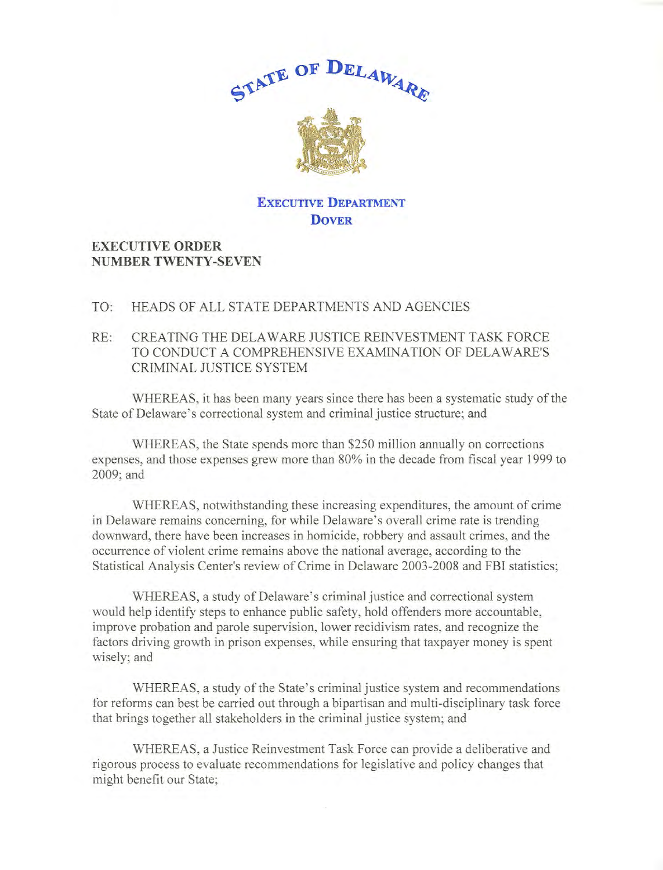

## **EXECUTIVE DEPARTMENT DOVER**

## **EXECUTIVE ORDER NUMBER TWENTY-SEVEN**

## TO: HEADS OF ALL STATE DEPARTMENTS AND AGENCIES

## RE: CREATING THE DELAWARE JUSTICE REINVESTMENT TASK FORCE TO CONDUCT A COMPREHENSIVE EXAMINATION OF DELAWARE'S CRIMINAL JUSTICE SYSTEM

WHEREAS, it has been many years since there has been a systematic study of the State of Delaware's correctional system and criminal justice structure; and

WHEREAS, the State spends more than \$250 million annually on corrections expenses, and those expenses grew more than 80% in the decade from fiscal year 1999 to 2009;and

WHEREAS, notwithstanding these increasing expenditures, the amount of crime in Delaware remains concerning, for while Delaware's overall crime rate is trending downward, there have been increases in homicide, robbery and assault crimes, and the occurrence of violent crime remains above the national average, according to the Statistical Analysis Center's review of Crime in Delaware 2003-2008 and FBI statistics;

WHEREAS, a study of Delaware's criminal justice and correctional system would help identify steps to enhance public safety, hold offenders more accountable, improve probation and parole supervision, lower recidivism rates, and recognize the factors driving growth in prison expenses, while ensuring that taxpayer money is spent wisely; and

WHEREAS, a study of the State's criminal justice system and recommendations for reforms can best be carried out through a bipartisan and multi-disciplinary task force that brings together all stakeholders in the criminal justice system; and

WHEREAS, a Justice Reinvestment Task Force can provide a deliberative and rigorous process to evaluate recommendations for legislative and policy changes that might benefit our State;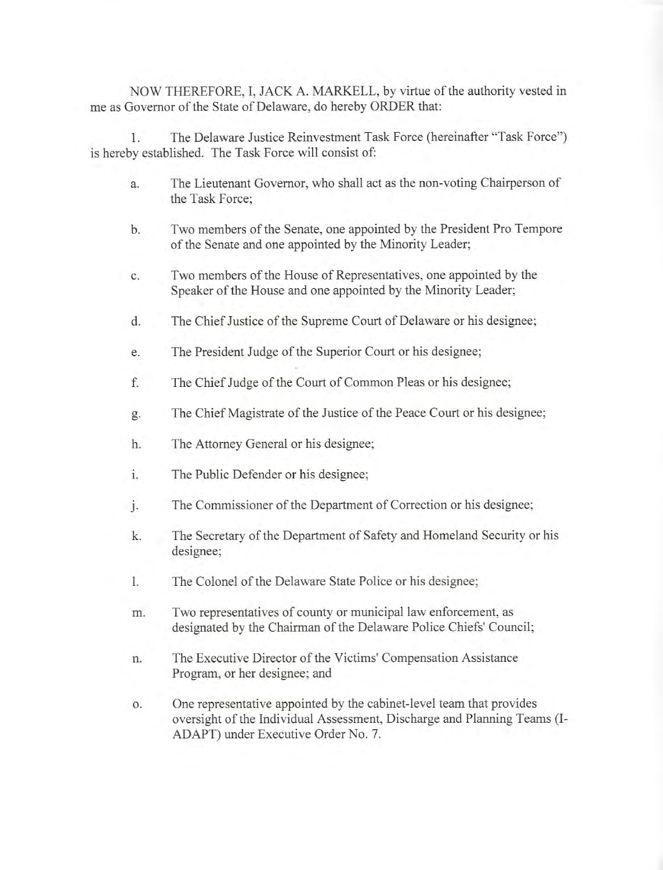NOW THEREFORE, I, JACK A. MARKELL, by virtue of the authority vested in me as Governor of the State of Delaware, do hereby ORDER that:

1. The Delaware Justice Reinvestment Task Force (hereinafter "Task Force") is hereby established. The Task Force will consist of:

- a. The Lieutenant Governor, who shall act as the non-voting Chairperson of the Task Force;
- b. Two members of the Senate, one appointed by the President Pro Tempore of the Senate and one appointed by the Minority Leader;
- c. Two members of the House of Representatives, one appointed by the Speaker of the House and one appointed by the Minority Leader;
- d. The Chief Justice of the Supreme Court of Delaware or his designee;
- e. The President Judge of the Superior Court or his designee;
- f. The Chief Judge of the Court of Common Pleas or his designee;
- g. The Chief Magistrate of the Justice of the Peace Court or his designee;
- h. The Attorney General or his designee;
- i. The Public Defender or his designee;
- j. The Commissioner of the Department of Correction or his designee;
- k. The Secretary of the Department of Safety and Homeland Security or his designee;
- I. The Colonel of the Delaware State Police or his designee;
- m. Two representatives of county or municipal law enforcement, as designated by the Chairman of the Delaware Police Chiefs' Council;
- n. The Executive Director of the Victims' Compensation Assistance Program, or her designee; and
- o. One representative appointed by the cabinet-level team that provides oversight of the Individual Assessment, Discharge and Planning Teams(!- ADAPT) under Executive Order No. 7.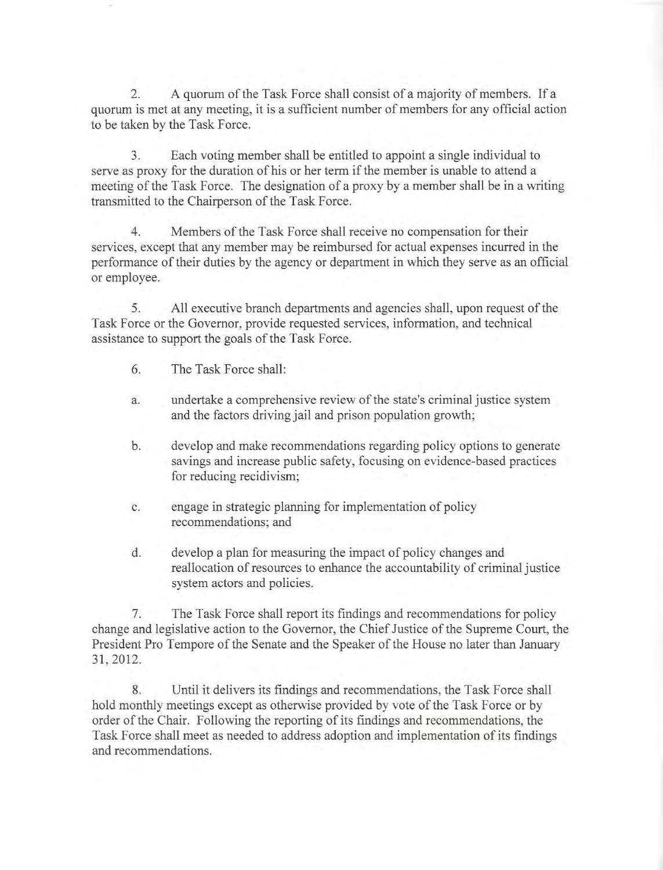2. A quorum of the Task Force shall consist of a majority of members. If a quorum is met at any meeting, it is a sufficient number of members for any official action to be taken by the Task Force.

3. Each voting member shall be entitled to appoint a single individual to serve as proxy for the duration of his or her term if the member is unable to attend a meeting of the Task Force. The designation of a proxy by a member shall be in a writing transmitted to the Chairperson of the Task Force.

4. Members of the Task Force shall receive no compensation for their services, except that any member may be reimbursed for actual expenses incurred in the performance of their duties by the agency or department in which they serve as an official or employee.

5. All executive branch departments and agencies shall, upon request of the Task Force or the Governor, provide requested services, information, and technical assistance to support the goals of the Task Force.

- 6. The Task Force shall:
- a. undertake a comprehensive review of the state's criminal justice system and the factors driving jail and prison population growth;
- b. develop and make recommendations regarding policy options to generate savings and increase public safety, focusing on evidence-based practices for reducing recidivism;
- c. engage in strategic planning for implementation of policy recommendations; and
- d. develop a plan for measuring the impact of policy changes and reallocation of resources to enhance the accountability of criminal justice system actors and policies.

7. The Task Force shall report its findings and recommendations for policy change and legislative action to the Governor, the Chief Justice of the Supreme Court, the President Pro Tempore of the Senate and the Speaker of the House no later than January 31, 2012.

8. Until it delivers its findings and recommendations, the Task Force shall hold monthly meetings except as otherwise provided by vote of the Task Force or by order of the Chair. Fallowing the reporting of its findings and recommendations, the Task Force shall meet as needed to address adoption and implementation of its findings and recommendations.